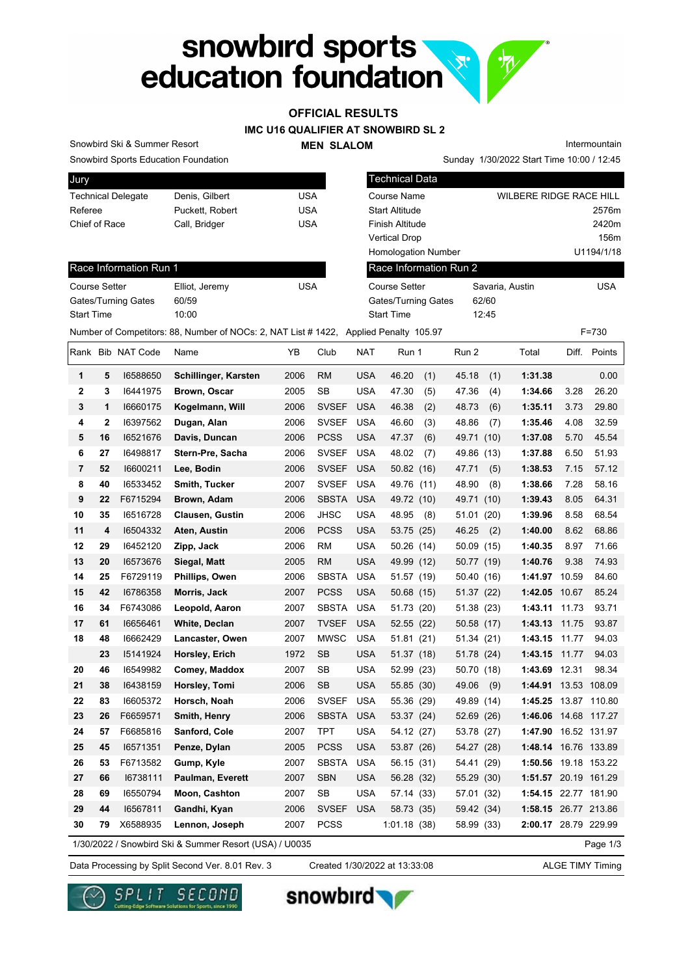# snowbird sports<br>education foundation Va.

## **OFFICIAL RESULTS**

**IMC U16 QUALIFIER AT SNOWBIRD SL 2**

#### **MEN SLALOM**

Intermountain

Snowbird Sports Education Foundation

Snowbird Ski & Summer Resort

| Jury                      |                 |     |
|---------------------------|-----------------|-----|
| <b>Technical Delegate</b> | Denis, Gilbert  | USA |
| Referee                   | Puckett, Robert | USA |
| Chief of Race             | Call, Bridger   | USA |
|                           |                 |     |

| <b>Snowbird Sports Education Foundation</b>                                          |                 |            |                            | Sunday 1/30/2022 Start Time 10:00 / 12:45 |                         |
|--------------------------------------------------------------------------------------|-----------------|------------|----------------------------|-------------------------------------------|-------------------------|
| Jury                                                                                 |                 |            | <b>Technical Data</b>      |                                           |                         |
| <b>Technical Delegate</b>                                                            | Denis, Gilbert  | <b>USA</b> | Course Name                |                                           | WILBERE RIDGE RACE HILL |
| Referee                                                                              | Puckett, Robert | <b>USA</b> | <b>Start Altitude</b>      |                                           | 2576m                   |
| Chief of Race                                                                        | Call, Bridger   | <b>USA</b> | <b>Finish Altitude</b>     |                                           | 2420m                   |
|                                                                                      |                 |            | <b>Vertical Drop</b>       |                                           | 156m                    |
|                                                                                      |                 |            | <b>Homologation Number</b> |                                           | U1194/1/18              |
| Race Information Run 1                                                               |                 |            | Race Information Run 2     |                                           |                         |
| Course Setter                                                                        | Elliot, Jeremy  | <b>USA</b> | Course Setter              | Savaria, Austin                           | <b>USA</b>              |
| Gates/Turning Gates                                                                  | 60/59           |            | Gates/Turning Gates        | 62/60                                     |                         |
| <b>Start Time</b>                                                                    | 10:00           |            | <b>Start Time</b>          | 12:45                                     |                         |
| Number of Competitors: 88, Number of NOCs: 2, NAT List #1422, Applied Penalty 105.97 |                 |            |                            |                                           | $F = 730$               |

#### Race Information Run 1

| <b>Course Setter</b> | Elliot, Jeremy | <b>USA</b> |
|----------------------|----------------|------------|
| Gates/Turning Gates  | 60/59          |            |
| <b>Start Time</b>    | 10:00          |            |

|              |             | Rank Bib NAT Code | Name                                                   | ΥB   | Club         | NAT        | Run 1        | Run 2         | Total                |       | Diff. Points |
|--------------|-------------|-------------------|--------------------------------------------------------|------|--------------|------------|--------------|---------------|----------------------|-------|--------------|
| 1            | 5           | 16588650          | Schillinger, Karsten                                   | 2006 | <b>RM</b>    | <b>USA</b> | 46.20<br>(1) | 45.18<br>(1)  | 1:31.38              |       | 0.00         |
| $\mathbf{2}$ | 3           | 16441975          | Brown, Oscar                                           | 2005 | <b>SB</b>    | <b>USA</b> | 47.30<br>(5) | 47.36<br>(4)  | 1:34.66              | 3.28  | 26.20        |
| 3            | 1           | 16660175          | Kogelmann, Will                                        | 2006 | <b>SVSEF</b> | <b>USA</b> | 46.38<br>(2) | 48.73<br>(6)  | 1:35.11              | 3.73  | 29.80        |
| 4            | $\mathbf 2$ | 16397562          | Dugan, Alan                                            | 2006 | <b>SVSEF</b> | <b>USA</b> | 46.60<br>(3) | 48.86<br>(7)  | 1:35.46              | 4.08  | 32.59        |
| 5            | 16          | 16521676          | Davis, Duncan                                          | 2006 | <b>PCSS</b>  | <b>USA</b> | 47.37<br>(6) | 49.71<br>(10) | 1:37.08              | 5.70  | 45.54        |
| 6            | 27          | 16498817          | Stern-Pre, Sacha                                       | 2006 | <b>SVSEF</b> | <b>USA</b> | 48.02<br>(7) | 49.86<br>(13) | 1:37.88              | 6.50  | 51.93        |
| 7            | 52          | 16600211          | Lee, Bodin                                             | 2006 | <b>SVSEF</b> | <b>USA</b> | 50.82 (16)   | 47.71<br>(5)  | 1:38.53              | 7.15  | 57.12        |
| 8            | 40          | 16533452          | Smith, Tucker                                          | 2007 | <b>SVSEF</b> | <b>USA</b> | 49.76 (11)   | 48.90<br>(8)  | 1:38.66              | 7.28  | 58.16        |
| 9            | 22          | F6715294          | Brown, Adam                                            | 2006 | <b>SBSTA</b> | <b>USA</b> | 49.72 (10)   | 49.71<br>(10) | 1:39.43              | 8.05  | 64.31        |
| 10           | 35          | 16516728          | Clausen, Gustin                                        | 2006 | <b>JHSC</b>  | <b>USA</b> | 48.95<br>(8) | 51.01<br>(20) | 1:39.96              | 8.58  | 68.54        |
| 11           | 4           | 16504332          | Aten, Austin                                           | 2006 | <b>PCSS</b>  | <b>USA</b> | 53.75 (25)   | 46.25<br>(2)  | 1:40.00              | 8.62  | 68.86        |
| 12           | 29          | 16452120          | Zipp, Jack                                             | 2006 | <b>RM</b>    | <b>USA</b> | 50.26 (14)   | 50.09<br>(15) | 1:40.35              | 8.97  | 71.66        |
| 13           | 20          | 16573676          | Siegal, Matt                                           | 2005 | <b>RM</b>    | <b>USA</b> | 49.99 (12)   | 50.77 (19)    | 1:40.76              | 9.38  | 74.93        |
| 14           | 25          | F6729119          | Phillips, Owen                                         | 2006 | <b>SBSTA</b> | <b>USA</b> | 51.57 (19)   | 50.40<br>(16) | 1:41.97 10.59        |       | 84.60        |
| 15           | 42          | 16786358          | Morris, Jack                                           | 2007 | <b>PCSS</b>  | <b>USA</b> | 50.68 (15)   | 51.37 (22)    | 1:42.05              | 10.67 | 85.24        |
| 16           | 34          | F6743086          | Leopold, Aaron                                         | 2007 | <b>SBSTA</b> | <b>USA</b> | 51.73 (20)   | 51.38 (23)    | 1:43.11              | 11.73 | 93.71        |
| 17           | 61          | 16656461          | White, Declan                                          | 2007 | <b>TVSEF</b> | <b>USA</b> | 52.55 (22)   | 50.58 (17)    | 1:43.13              | 11.75 | 93.87        |
| 18           | 48          | 16662429          | Lancaster, Owen                                        | 2007 | <b>MWSC</b>  | <b>USA</b> | 51.81 (21)   | 51.34 (21)    | 1:43.15              | 11.77 | 94.03        |
|              | 23          | 15141924          | Horsley, Erich                                         | 1972 | <b>SB</b>    | <b>USA</b> | 51.37 (18)   | 51.78 (24)    | 1:43.15              | 11.77 | 94.03        |
| 20           | 46          | 16549982          | Comey, Maddox                                          | 2007 | <b>SB</b>    | <b>USA</b> | 52.99 (23)   | 50.70<br>(18) | 1:43.69              | 12.31 | 98.34        |
| 21           | 38          | 16438159          | Horsley, Tomi                                          | 2006 | <b>SB</b>    | <b>USA</b> | 55.85 (30)   | 49.06<br>(9)  | 1:44.91              |       | 13.53 108.09 |
| 22           | 83          | 16605372          | Horsch, Noah                                           | 2006 | <b>SVSEF</b> | <b>USA</b> | 55.36 (29)   | 49.89<br>(14) | 1:45.25              |       | 13.87 110.80 |
| 23           | 26          | F6659571          | Smith, Henry                                           | 2006 | <b>SBSTA</b> | <b>USA</b> | 53.37 (24)   | 52.69 (26)    | 1:46.06 14.68 117.27 |       |              |
| 24           | 57          | F6685816          | Sanford, Cole                                          | 2007 | <b>TPT</b>   | <b>USA</b> | 54.12 (27)   | 53.78 (27)    | 1:47.90 16.52 131.97 |       |              |
| 25           | 45          | 16571351          | Penze, Dylan                                           | 2005 | <b>PCSS</b>  | <b>USA</b> | 53.87 (26)   | 54.27 (28)    | 1:48.14 16.76 133.89 |       |              |
| 26           | 53          | F6713582          | Gump, Kyle                                             | 2007 | <b>SBSTA</b> | <b>USA</b> | 56.15 (31)   | 54.41 (29)    | 1:50.56 19.18 153.22 |       |              |
| 27           | 66          | 16738111          | Paulman, Everett                                       | 2007 | <b>SBN</b>   | <b>USA</b> | 56.28 (32)   | 55.29<br>(30) | 1:51.57 20.19 161.29 |       |              |
| 28           | 69          | 16550794          | <b>Moon, Cashton</b>                                   | 2007 | SВ           | <b>USA</b> | 57.14 (33)   | 57.01<br>(32) | 1:54.15 22.77 181.90 |       |              |
| 29           | 44          | 16567811          | Gandhi, Kyan                                           | 2006 | <b>SVSEF</b> | <b>USA</b> | 58.73 (35)   | 59.42 (34)    | 1:58.15 26.77 213.86 |       |              |
| 30           | 79          | X6588935          | Lennon, Joseph                                         | 2007 | <b>PCSS</b>  |            | 1:01.18(38)  | 58.99 (33)    | 2:00.17 28.79 229.99 |       |              |
|              |             |                   | 1/30/2022 / Snowbird Ski & Summer Resort (USA) / U0035 |      |              |            |              |               |                      |       | Page 1/3     |

Data Processing by Split Second Ver. 8.01 Rev. 3 Created 1/30/2022 at 13:33:08 ALGE TIMY Timing

SECOND

Created 1/30/2022 at 13:33:08



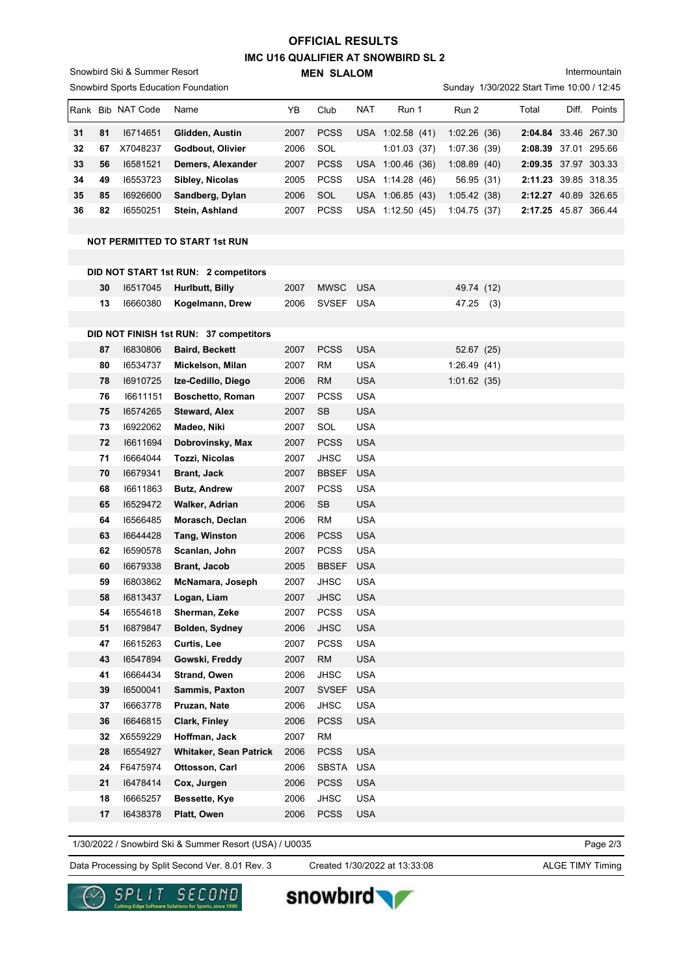## **IMC U16 QUALIFIER AT SNOWBIRD SL 2 MEN SLALOM OFFICIAL RESULTS**

Snowbird Ski & Summer Resort

Snowbird Sports Education Foundation

Intermountain

Sunday 1/30/2022 Start Time 10:00 / 12:45

| Rank | <b>Bib</b> | NAT Code | Name              | YB.  | Club        | <b>NAT</b> | Run 1               | Run 2        | Total                | Diff. | Points       |
|------|------------|----------|-------------------|------|-------------|------------|---------------------|--------------|----------------------|-------|--------------|
| 31   | 81         | 16714651 | Glidden, Austin   | 2007 | <b>PCSS</b> | <b>USA</b> | 1:02.58(41)         | 1:02.26(36)  | 2:04.84 33.46 267.30 |       |              |
| 32   | 67         | X7048237 | Godbout, Olivier  | 2006 | SOL         |            | 1:01.03<br>(37)     | 1:07.36 (39) | 2:08.39 37.01 295.66 |       |              |
| 33   | 56         | 16581521 | Demers, Alexander | 2007 | <b>PCSS</b> |            | USA 1:00.46 (36)    | 1:08.89(40)  | 2:09.35 37.97 303.33 |       |              |
| 34   | 49         | 16553723 | Sibley, Nicolas   | 2005 | <b>PCSS</b> |            | USA 1:14.28 (46)    | 56.95 (31)   | 2:11.23 39.85 318.35 |       |              |
| 35   | 85         | 16926600 | Sandberg, Dylan   | 2006 | SOL         |            | USA 1:06.85<br>(43) | 1:05.42(38)  | 2:12.27              |       | 40.89 326.65 |
| 36   | 82         | 16550251 | Stein, Ashland    | 2007 | <b>PCSS</b> | USA        | 1:12.50<br>(45)     | 1:04.75(37)  | 2:17.25              |       | 45.87 366.44 |

#### **NOT PERMITTED TO START 1st RUN**

|    |          | DID NOT START 1st RUN: 2 competitors   |      |              |            |             |     |
|----|----------|----------------------------------------|------|--------------|------------|-------------|-----|
| 30 | 16517045 | Hurlbutt, Billy                        | 2007 | <b>MWSC</b>  | <b>USA</b> | 49.74 (12)  |     |
| 13 | 16660380 | Kogelmann, Drew                        | 2006 | SVSEF USA    |            | 47.25       | (3) |
|    |          |                                        |      |              |            |             |     |
|    |          | DID NOT FINISH 1st RUN: 37 competitors |      |              |            |             |     |
| 87 | 16830806 | <b>Baird, Beckett</b>                  | 2007 | <b>PCSS</b>  | <b>USA</b> | 52.67 (25)  |     |
| 80 | 16534737 | Mickelson, Milan                       | 2007 | <b>RM</b>    | <b>USA</b> | 1:26.49(41) |     |
| 78 | 16910725 | Ize-Cedillo, Diego                     | 2006 | <b>RM</b>    | USA        | 1:01.62(35) |     |
| 76 | 16611151 | <b>Boschetto, Roman</b>                | 2007 | <b>PCSS</b>  | <b>USA</b> |             |     |
| 75 | 16574265 | <b>Steward, Alex</b>                   | 2007 | <b>SB</b>    | USA        |             |     |
| 73 | 16922062 | Madeo, Niki                            | 2007 | SOL          | <b>USA</b> |             |     |
| 72 | 16611694 | Dobrovinsky, Max                       | 2007 | <b>PCSS</b>  | <b>USA</b> |             |     |
| 71 | 16664044 | Tozzi, Nicolas                         | 2007 | <b>JHSC</b>  | <b>USA</b> |             |     |
| 70 | 16679341 | <b>Brant, Jack</b>                     | 2007 | <b>BBSEF</b> | <b>USA</b> |             |     |
| 68 | 16611863 | <b>Butz, Andrew</b>                    | 2007 | <b>PCSS</b>  | USA        |             |     |
| 65 | 16529472 | Walker, Adrian                         | 2006 | <b>SB</b>    | <b>USA</b> |             |     |
| 64 | 16566485 | Morasch, Declan                        | 2006 | RM           | <b>USA</b> |             |     |
| 63 | 16644428 | Tang, Winston                          | 2006 | <b>PCSS</b>  | <b>USA</b> |             |     |
| 62 | 16590578 | Scanlan, John                          | 2007 | <b>PCSS</b>  | <b>USA</b> |             |     |
| 60 | 16679338 | <b>Brant, Jacob</b>                    | 2005 | <b>BBSEF</b> | <b>USA</b> |             |     |
| 59 | 16803862 | McNamara, Joseph                       | 2007 | <b>JHSC</b>  | <b>USA</b> |             |     |
| 58 | 16813437 | Logan, Liam                            | 2007 | <b>JHSC</b>  | <b>USA</b> |             |     |
| 54 | 16554618 | Sherman, Zeke                          | 2007 | <b>PCSS</b>  | <b>USA</b> |             |     |
| 51 | 16879847 | <b>Bolden, Sydney</b>                  | 2006 | <b>JHSC</b>  | <b>USA</b> |             |     |
| 47 | 16615263 | Curtis, Lee                            | 2007 | <b>PCSS</b>  | <b>USA</b> |             |     |
| 43 | 16547894 | Gowski, Freddy                         | 2007 | <b>RM</b>    | <b>USA</b> |             |     |
| 41 | 16664434 | <b>Strand, Owen</b>                    | 2006 | <b>JHSC</b>  | <b>USA</b> |             |     |
| 39 | 16500041 | Sammis, Paxton                         | 2007 | <b>SVSEF</b> | <b>USA</b> |             |     |
| 37 | 16663778 | Pruzan, Nate                           | 2006 | <b>JHSC</b>  | USA        |             |     |
| 36 | 16646815 | Clark, Finley                          | 2006 | <b>PCSS</b>  | <b>USA</b> |             |     |
| 32 | X6559229 | Hoffman, Jack                          | 2007 | RM           |            |             |     |
| 28 | 16554927 | <b>Whitaker, Sean Patrick</b>          | 2006 | <b>PCSS</b>  | <b>USA</b> |             |     |
| 24 | F6475974 | Ottosson, Carl                         | 2006 | <b>SBSTA</b> | <b>USA</b> |             |     |
| 21 | 16478414 | Cox, Jurgen                            | 2006 | <b>PCSS</b>  | <b>USA</b> |             |     |
| 18 | 16665257 | Bessette, Kye                          | 2006 | <b>JHSC</b>  | <b>USA</b> |             |     |
| 17 | 16438378 | Platt, Owen                            | 2006 | <b>PCSS</b>  | <b>USA</b> |             |     |
|    |          |                                        |      |              |            |             |     |

1/30/2022 / Snowbird Ski & Summer Resort (USA) / U0035

Data Processing by Split Second Ver. 8.01 Rev. 3 Created 1/30/2022 at 13:33:08 ALGE TIMY Timing

Created 1/30/2022 at 13:33:08

Page 2/3



snowbird